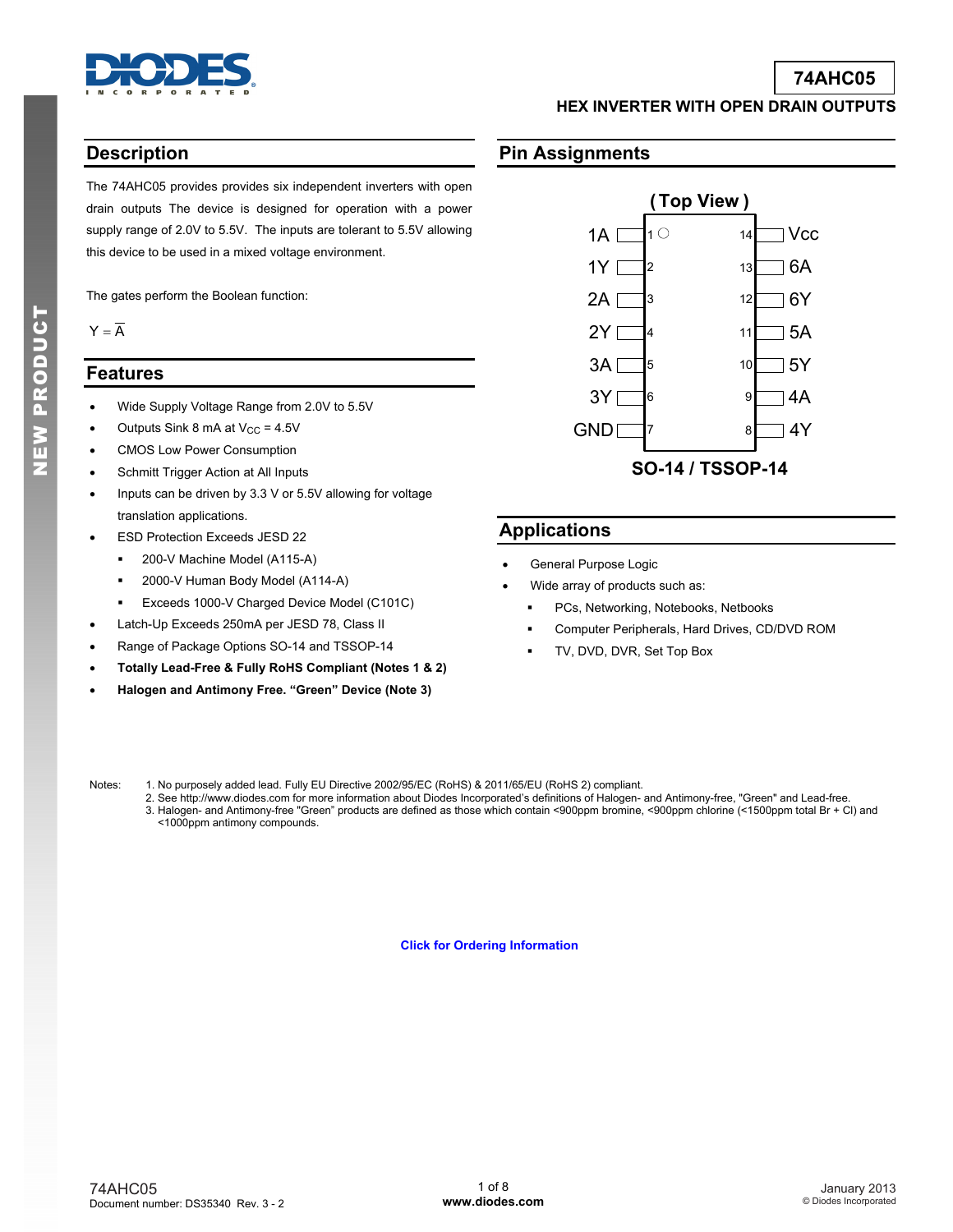

## **74AHC05**

**HEX INVERTER WITH OPEN DRAIN OUTPUTS** 

### **Description**

The 74AHC05 provides provides six independent inverters with open drain outputs The device is designed for operation with a power supply range of 2.0V to 5.5V. The inputs are tolerant to 5.5V allowing this device to be used in a mixed voltage environment.

The gates perform the Boolean function:

 $Y = \overline{A}$ 

#### **Features**

- Wide Supply Voltage Range from 2.0V to 5.5V
- Outputs Sink 8 mA at  $V_{CC}$  = 4.5V
- CMOS Low Power Consumption
- Schmitt Trigger Action at All Inputs
- Inputs can be driven by 3.3 V or 5.5V allowing for voltage translation applications.
- ESD Protection Exceeds JESD 22
	- 200-V Machine Model (A115-A)
	- 2000-V Human Body Model (A114-A)
	- **Exceeds 1000-V Charged Device Model (C101C)**
- Latch-Up Exceeds 250mA per JESD 78, Class II
- Range of Package Options SO-14 and TSSOP-14
- **Totally Lead-Free & Fully RoHS Compliant (Notes 1 & 2)**
- **Halogen and Antimony Free. "Green" Device (Note 3)**

### **Pin Assignments**



### **Applications**

- General Purpose Logic
- Wide array of products such as:
	- PCs, Networking, Notebooks, Netbooks
	- Computer Peripherals, Hard Drives, CD/DVD ROM
	- TV, DVD, DVR, Set Top Box

Notes: 1. No purposely added lead. Fully EU Directive 2002/95/EC (RoHS) & 2011/65/EU (RoHS 2) compliant.

 2. See [http://www.diodes.com fo](http://www.diodes.com)r more information about Diodes Incorporated's definitions of Halogen- and Antimony-free, "Green" and Lead-free. 3. Halogen- and Antimony-free "Green" products are defined as those which contain <900ppm bromine, <900ppm chlorine (<1500ppm total Br + Cl) and <1000ppm antimony compounds.

**[Click for Ordering Information](#page-4-0)**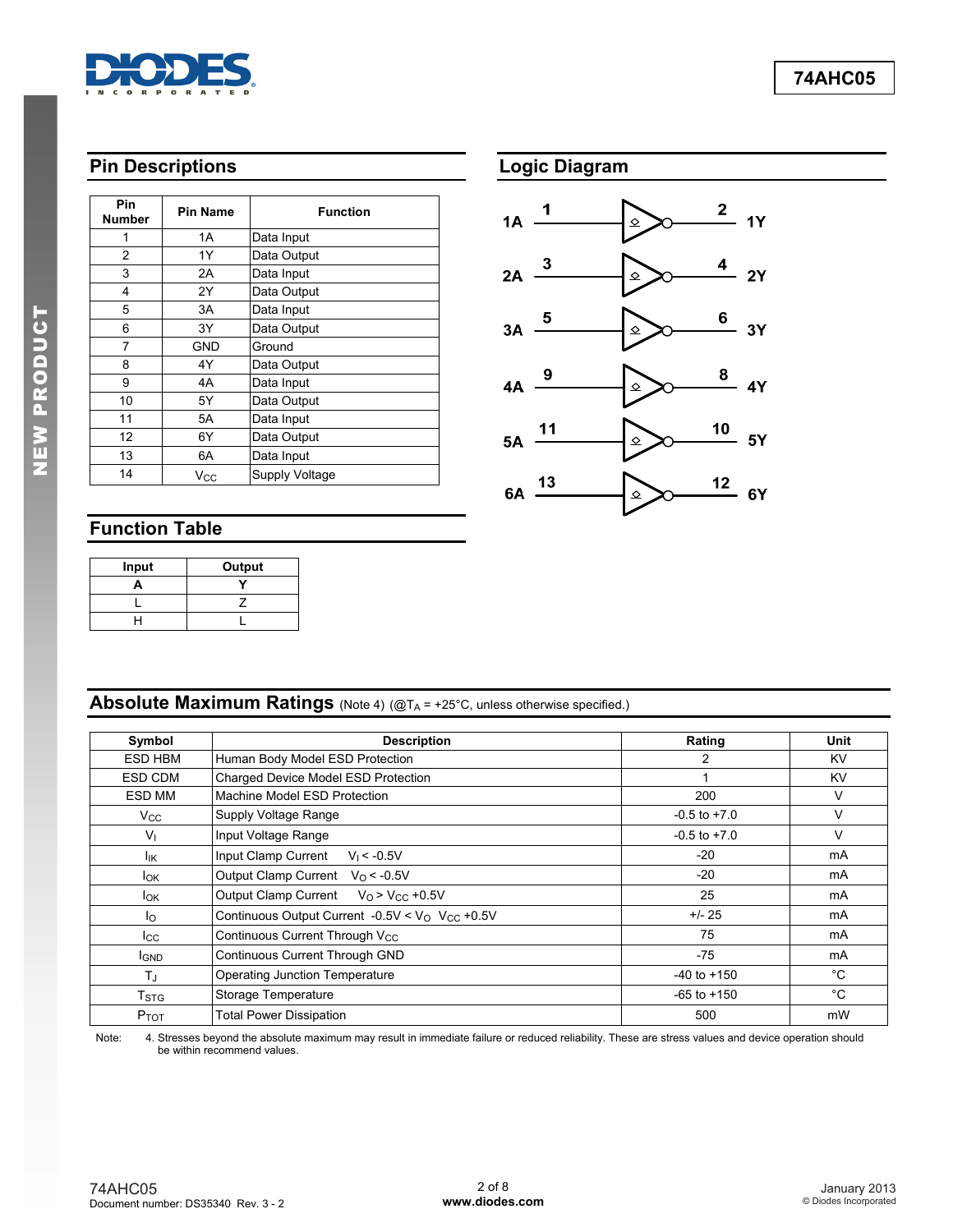

# **Pin Descriptions**

| Pin            | <b>Pin Name</b> | <b>Function</b> |  |  |
|----------------|-----------------|-----------------|--|--|
| <b>Number</b>  |                 |                 |  |  |
| 1              | 1A              | Data Input      |  |  |
| $\overline{c}$ | 1Y              | Data Output     |  |  |
| 3              | 2A              | Data Input      |  |  |
| 4              | 2Y              | Data Output     |  |  |
| 5              | 3A              | Data Input      |  |  |
| 6              | 3Y              | Data Output     |  |  |
| 7              | GND             | Ground          |  |  |
| 8              | 4Υ              | Data Output     |  |  |
| 9              | 4A              | Data Input      |  |  |
| 10             | 5Υ              | Data Output     |  |  |
| 11             | 5A              | Data Input      |  |  |
| 12             | 6Y              | Data Output     |  |  |
| 13             | 6A              | Data Input      |  |  |
| 14             | $V_{\rm CC}$    | Supply Voltage  |  |  |



# **Function Table**

| Input | Output |
|-------|--------|
| o     |        |
|       |        |
|       |        |

# **Absolute Maximum Ratings** (Note 4) (@TA = +25°C, unless otherwise specified.)

| Symbol                 | <b>Description</b>                                              | Rating           | Unit      |
|------------------------|-----------------------------------------------------------------|------------------|-----------|
| ESD HBM                | Human Body Model ESD Protection                                 | 2                | KV        |
| ESD CDM                | Charged Device Model ESD Protection                             |                  | <b>KV</b> |
| ESD MM                 | Machine Model ESD Protection                                    | 200              | v         |
| <b>V<sub>cc</sub></b>  | Supply Voltage Range                                            | $-0.5$ to $+7.0$ | V         |
| $V_{\perp}$            | Input Voltage Range                                             | $-0.5$ to $+7.0$ | V         |
| lικ                    | Input Clamp Current<br>$V_1 < -0.5V$                            | $-20$            | mA        |
| <b>I</b> ok            | Output Clamp Current $V_0 < -0.5V$                              | $-20$            | mA        |
| <b>I</b> <sub>OK</sub> | Output Clamp Current $V_0 > V_{CC} +0.5V$                       | 25               | mA        |
| lo.                    | Continuous Output Current -0.5V < $V_{O}$ V <sub>CC</sub> +0.5V | $+/- 25$         | mA        |
| <b>I</b> cc            | Continuous Current Through Vcc                                  | 75               | mA        |
| <b>I</b> GND           | Continuous Current Through GND                                  | $-75$            | mA        |
| T.L                    | <b>Operating Junction Temperature</b>                           | $-40$ to $+150$  | °C        |
| T <sub>STG</sub>       | Storage Temperature                                             | $-65$ to $+150$  | °C        |
| P <sub>TOT</sub>       | <b>Total Power Dissipation</b>                                  | 500              | mW        |

Note: 4. Stresses beyond the absolute maximum may result in immediate failure or reduced reliability. These are stress values and device operation should be within recommend values.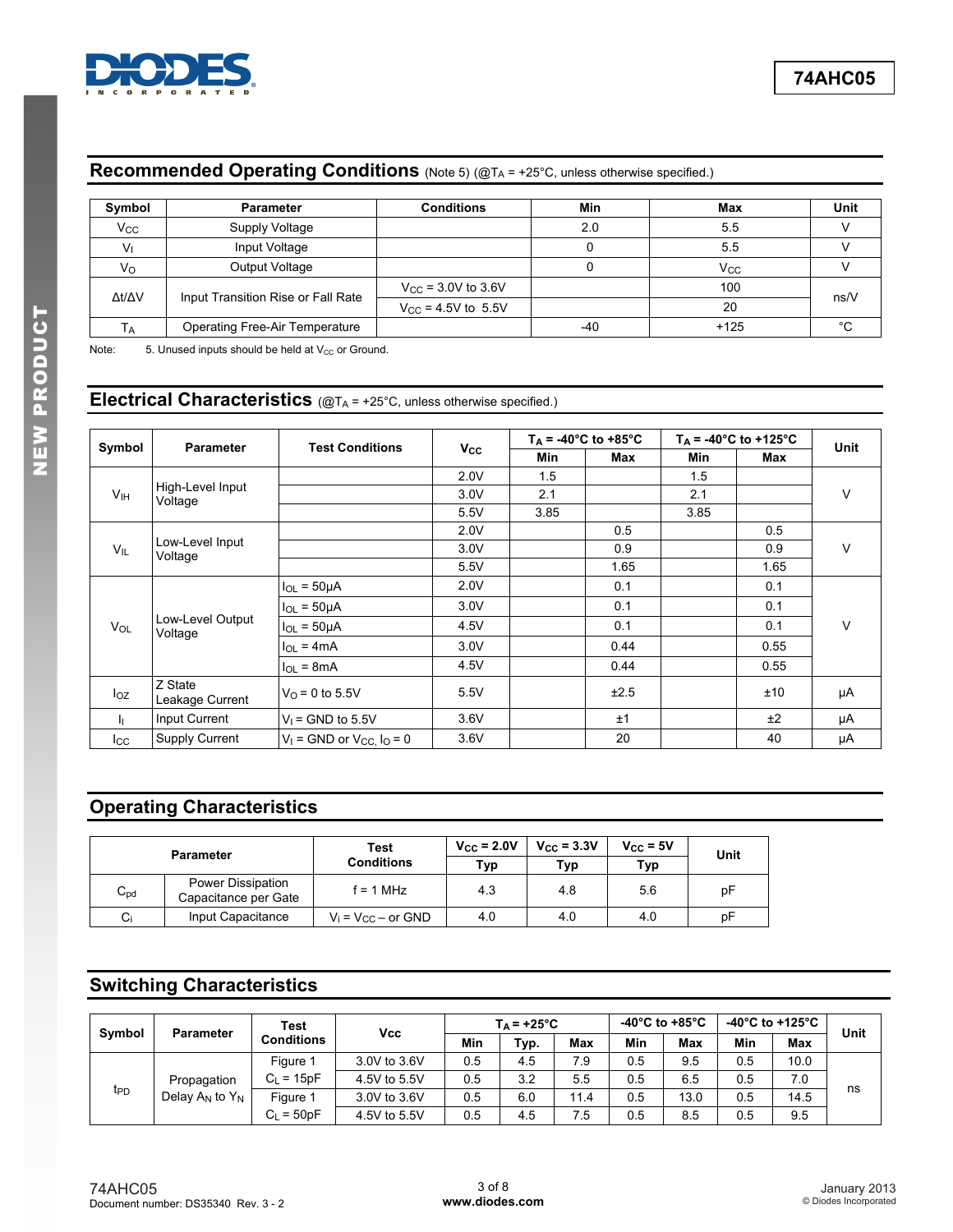

## **Recommended Operating Conditions** (Note 5) (@TA = +25°C, unless otherwise specified.)

| Symbol              | <b>Parameter</b>                   | <b>Conditions</b>              | Min   | Max    | Unit   |
|---------------------|------------------------------------|--------------------------------|-------|--------|--------|
| $V_{\rm CC}$        | Supply Voltage                     |                                | 2.0   | 5.5    |        |
| V <sub>1</sub>      | Input Voltage                      |                                |       | 5.5    |        |
| Vo                  | Output Voltage                     |                                |       | Vcc    |        |
| $\Delta t/\Delta V$ | Input Transition Rise or Fall Rate | $V_{\text{CC}}$ = 3.0V to 3.6V |       | 100    | ns/V   |
|                     |                                    | $V_{CC}$ = 4.5V to 5.5V        |       | 20     |        |
| Tд                  | Operating Free-Air Temperature     |                                | $-40$ | $+125$ | $\sim$ |

Note:  $5.$  Unused inputs should be held at  $V_{CC}$  or Ground.

## **Electrical Characteristics** ( $@T_A = +25^\circ C$ , unless otherwise specified.)

|                 | <b>Parameter</b>            | <b>Test Conditions</b>              |              |      | $T_A = -40^{\circ}C$ to $+85^{\circ}C$ |      | $T_A = -40^{\circ}C$ to $+125^{\circ}C$ | <b>Unit</b> |
|-----------------|-----------------------------|-------------------------------------|--------------|------|----------------------------------------|------|-----------------------------------------|-------------|
| Symbol          |                             |                                     | $V_{\rm CC}$ | Min  | Max                                    | Min  | Max                                     |             |
|                 |                             |                                     | 2.0V         | 1.5  |                                        | 1.5  |                                         |             |
| V <sub>IH</sub> | High-Level Input<br>Voltage |                                     | 3.0V         | 2.1  |                                        | 2.1  |                                         | V           |
|                 |                             |                                     | 5.5V         | 3.85 |                                        | 3.85 |                                         |             |
|                 |                             |                                     | 2.0V         |      | 0.5                                    |      | 0.5                                     |             |
| $V_{IL}$        | Low-Level Input<br>Voltage  |                                     | 3.0V         |      | 0.9                                    |      | 0.9                                     | V           |
|                 |                             |                                     | 5.5V         |      | 1.65                                   |      | 1.65                                    |             |
|                 |                             | $I_{OL} = 50 \mu A$                 | 2.0V         |      | 0.1                                    |      | 0.1                                     |             |
|                 |                             | $I_{OL} = 50 \mu A$                 | 3.0V         |      | 0.1                                    |      | 0.1                                     |             |
| $V_{OL}$        | Low-Level Output<br>Voltage | $I_{OL}$ = 50 $\mu$ A               | 4.5V         |      | 0.1                                    |      | 0.1                                     | V           |
|                 |                             | $I_{OL}$ = 4mA                      | 3.0V         |      | 0.44                                   |      | 0.55                                    |             |
|                 |                             | $I_{OL}$ = 8mA                      | 4.5V         |      | 0.44                                   |      | 0.55                                    |             |
| $I_{OZ}$        | Z State<br>Leakage Current  | $V_0 = 0$ to 5.5V                   | 5.5V         |      | ±2.5                                   |      | ±10                                     | μA          |
| h.              | Input Current               | $V_1$ = GND to 5.5V                 | 3.6V         |      | ±1                                     |      | ±2                                      | μA          |
| Icc             | <b>Supply Current</b>       | $V_1$ = GND or $V_{CC}$ , $I_0$ = 0 | 3.6V         |      | 20                                     |      | 40                                      | μA          |

# **Operating Characteristics**

| <b>Parameter</b> |                                           | Test<br><b>Conditions</b> | $V_{CC}$ = 2.0V<br>Typ | $V_{CC}$ = 3.3V<br>Typ | $V_{CC} = 5V$<br>Тур | Unit |
|------------------|-------------------------------------------|---------------------------|------------------------|------------------------|----------------------|------|
| $C_{pd}$         | Power Dissipation<br>Capacitance per Gate | f = 1 MHz                 | 4.3                    | 4.8                    | 5.6                  | рF   |
| $C_i$            | Input Capacitance                         | $V_i = V_{CC} - or GND$   | 4.0                    | 4.0                    | 4.0                  | рF   |

# **Switching Characteristics**

| Symbol          | <b>Parameter</b>     | Test         | <b>Vcc</b>   |     | $T_A = +25^{\circ}C$ |      |     | -40 $^{\circ}$ C to +85 $^{\circ}$ C |     | -40°C to +125°C | Unit |
|-----------------|----------------------|--------------|--------------|-----|----------------------|------|-----|--------------------------------------|-----|-----------------|------|
|                 |                      | Conditions   |              | Min | Typ.                 | Max  | Min | Max                                  | Min | Max             |      |
|                 |                      | Figure 1     | 3.0V to 3.6V | 0.5 | 4.5                  | 7.9  | 0.5 | 9.5                                  | 0.5 | 10.0            |      |
|                 | Propagation          | $C_L = 15pF$ | 4.5V to 5.5V | 0.5 | 3.2                  | 5.5  | 0.5 | 6.5                                  | 0.5 | 7.0             |      |
| t <sub>PD</sub> | Delay $A_N$ to $Y_N$ | Figure 1     | 3.0V to 3.6V | 0.5 | 6.0                  | 11.4 | 0.5 | 13.0                                 | 0.5 | 14.5            | ns   |
|                 |                      | $C_1 = 50pF$ | 4.5V to 5.5V | 0.5 | 4.5                  | 7.5  | 0.5 | 8.5                                  | 0.5 | 9.5             |      |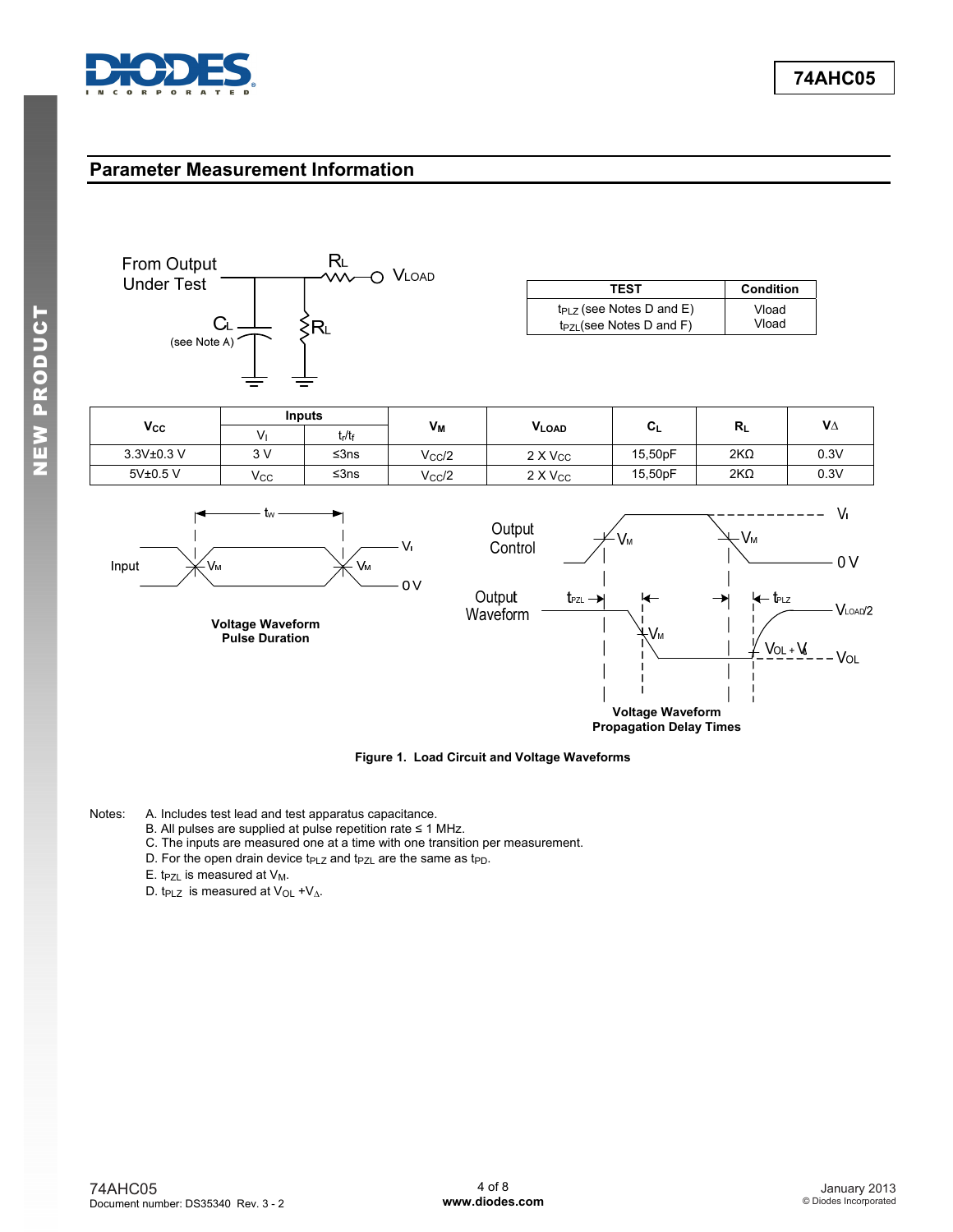

### **Parameter Measurement Information**



**Voltage Waveform Propagation Delay Times**

**Figure 1. Load Circuit and Voltage Waveforms**

Notes: A. Includes test lead and test apparatus capacitance.

- B. All pulses are supplied at pulse repetition rate ≤ 1 MHz.
- C. The inputs are measured one at a time with one transition per measurement.
- D. For the open drain device t<sub>PLZ</sub> and t<sub>PZL</sub> are the same as t<sub>PD</sub>.
- E. t<sub>PZL</sub> is measured at  $V_M$ .
- D. t<sub>PLZ</sub> is measured at V<sub>OL</sub> +V<sub>∆</sub>.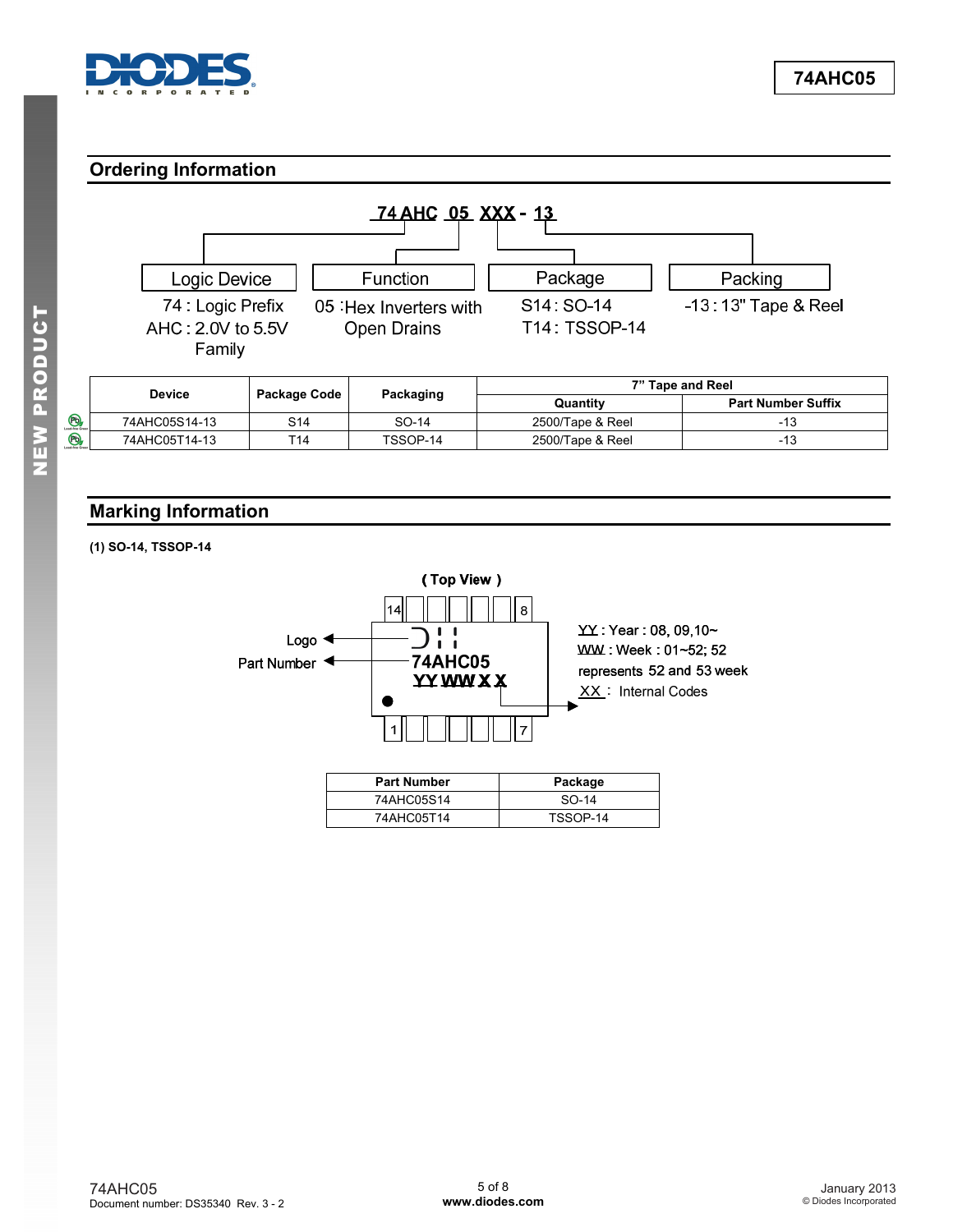<span id="page-4-0"></span>![](_page_4_Picture_0.jpeg)

## **Ordering Information**

![](_page_4_Figure_3.jpeg)

## **Marking Information**

**(1) SO-14, TSSOP-14** 

![](_page_4_Figure_6.jpeg)

74AHC05T14 TSSOP-14

 $\circledB$  $\Theta$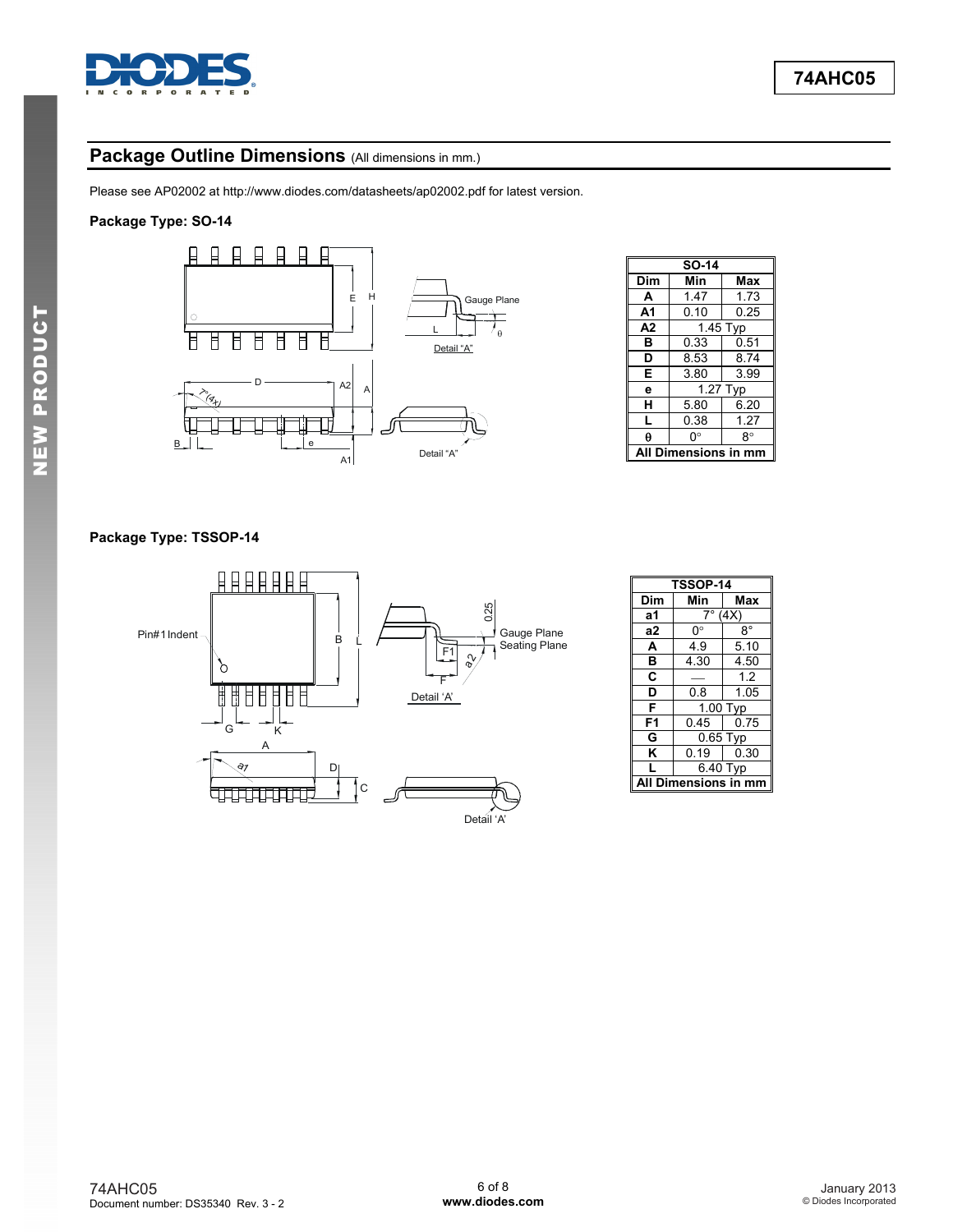![](_page_5_Picture_0.jpeg)

# Package Outline Dimensions (All dimensions in mm.)

Please see AP02002 at [http://www.diodes.com/datasheets/ap02002.pdf fo](http://www.diodes.com/datasheets/ap02002.pdf)r latest version.

#### **Package Type: SO-14**

![](_page_5_Figure_5.jpeg)

|                | SO-14                  |                        |  |  |  |
|----------------|------------------------|------------------------|--|--|--|
| Dim            | Min                    | Max                    |  |  |  |
| A              | 1.47                   | 1.73                   |  |  |  |
| A <sub>1</sub> | 0.10                   | 0.25                   |  |  |  |
| A <sub>2</sub> | $\overline{1}$ .45 Typ |                        |  |  |  |
| в              | 0.33                   | 0.51                   |  |  |  |
| D              | 8.53                   | 8.74                   |  |  |  |
| Е              | 3.80                   | 3.99                   |  |  |  |
| e              |                        | $\overline{1}$ .27 Typ |  |  |  |
| н              | 5.80                   | 6.20                   |  |  |  |
|                | 0.38                   | 1.27                   |  |  |  |
| A              | ∩°                     | R۰                     |  |  |  |
|                | Dimensions i           |                        |  |  |  |

#### **Package Type: TSSOP-14**

![](_page_5_Figure_8.jpeg)

|                | <b>TSSOP-14</b>  |             |  |  |  |
|----------------|------------------|-------------|--|--|--|
| Dim            | Max<br>Min       |             |  |  |  |
| а1             | $7^\circ$        | (4X)        |  |  |  |
| a2             | 0°               | $8^{\circ}$ |  |  |  |
| A              | 4.9              | 5.10        |  |  |  |
| в              | 4.30             | 4.50        |  |  |  |
| C              |                  | 1.2         |  |  |  |
| D              | 0.8              | 1.05        |  |  |  |
| F              |                  | 1.00 Typ    |  |  |  |
| F <sub>1</sub> | 0.45             | 0.75        |  |  |  |
| G              | $0.65$ Typ       |             |  |  |  |
| κ              | 0.19             | 0.30        |  |  |  |
|                | 6.40 Typ         |             |  |  |  |
|                | Dimensions in mm |             |  |  |  |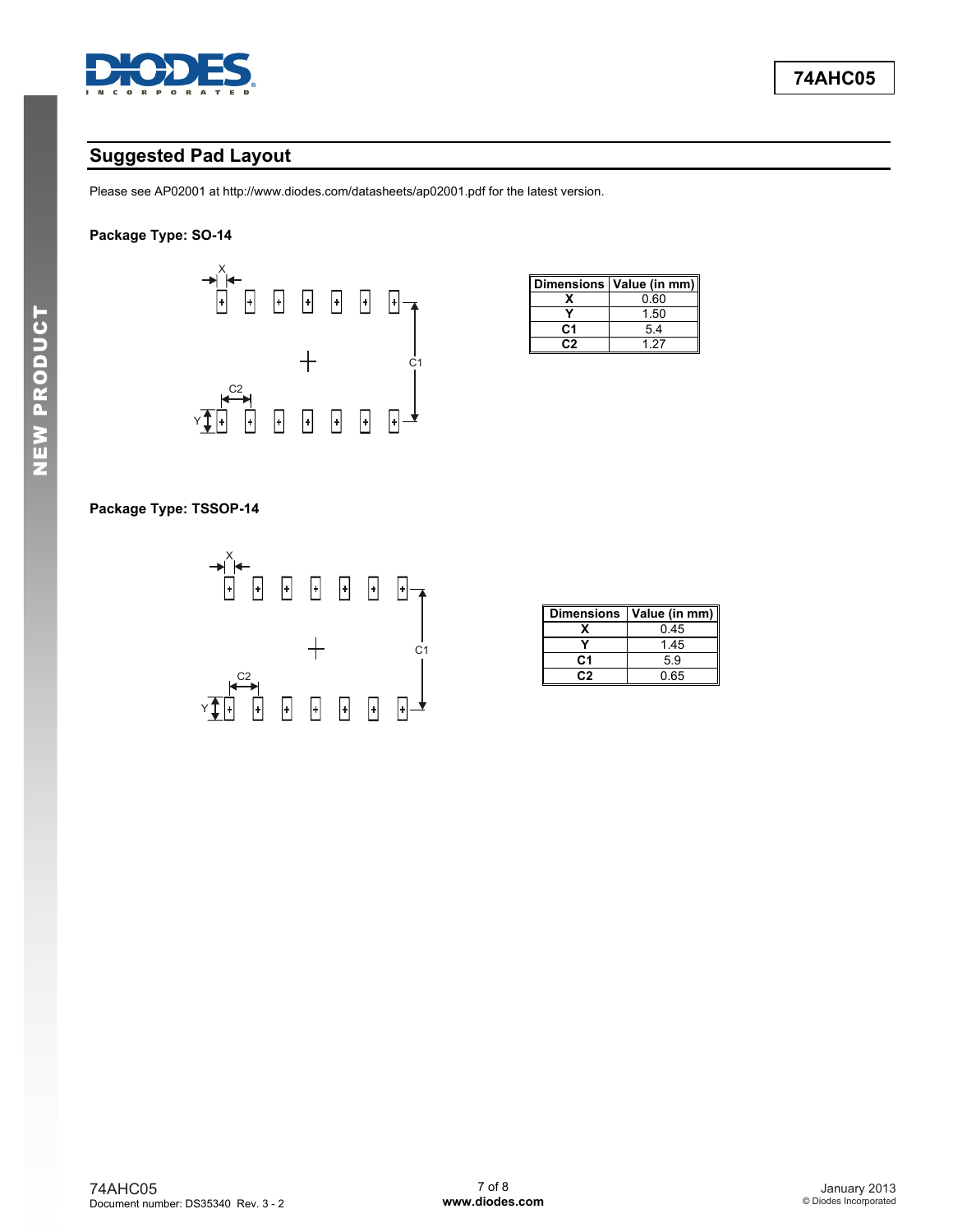![](_page_6_Picture_0.jpeg)

# **Suggested Pad Layout**

Please see AP02001 at [http://www.diodes.com/datasheets/ap02001.pdf fo](http://www.diodes.com/datasheets/ap02001.pdf)r the latest version.

#### **Package Type: SO-14**

![](_page_6_Figure_5.jpeg)

|    | Dimensions   Value (in mm) |
|----|----------------------------|
|    | 0.60                       |
|    | 1.50                       |
| C1 | 5.4                        |
|    | 197                        |

#### **Package Type: TSSOP-14**

![](_page_6_Figure_8.jpeg)

| <b>Dimensions</b> | Value (in mm) |
|-------------------|---------------|
|                   | 0.45          |
|                   | 1.45          |
| C1                | 5.9           |
| - : 2             | 0.65          |